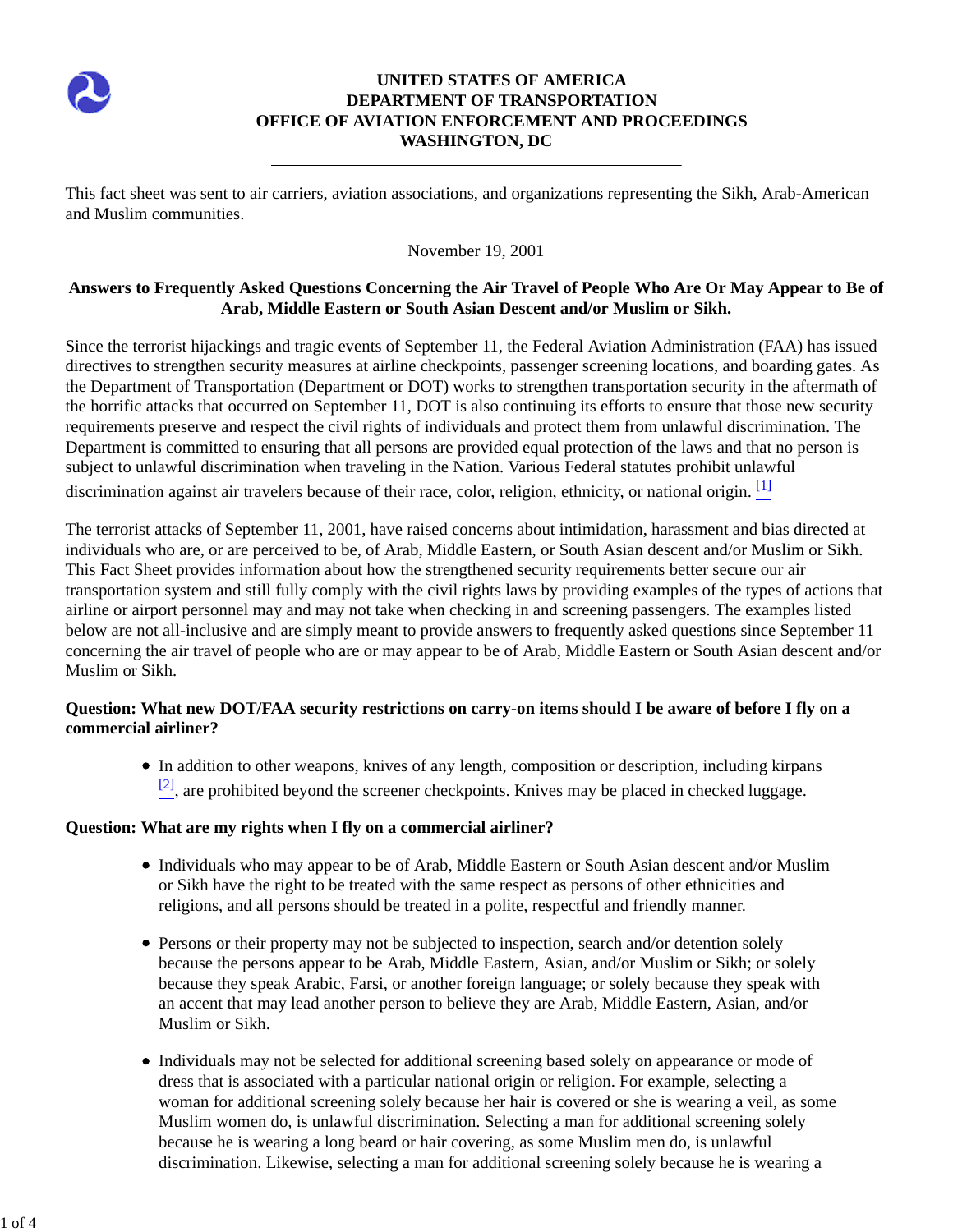

# **UNITED STATES OF AMERICA DEPARTMENT OF TRANSPORTATION OFFICE OF AVIATION ENFORCEMENT AND PROCEEDINGS WASHINGTON, DC**

This fact sheet was sent to air carriers, aviation associations, and organizations representing the Sikh, Arab-American and Muslim communities.

#### November 19, 2001

### **Answers to Frequently Asked Questions Concerning the Air Travel of People Who Are Or May Appear to Be of Arab, Middle Eastern or South Asian Descent and/or Muslim or Sikh.**

Since the terrorist hijackings and tragic events of September 11, the Federal Aviation Administration (FAA) has issued directives to strengthen security measures at airline checkpoints, passenger screening locations, and boarding gates. As the Department of Transportation (Department or DOT) works to strengthen transportation security in the aftermath of the horrific attacks that occurred on September 11, DOT is also continuing its efforts to ensure that those new security requirements preserve and respect the civil rights of individuals and protect them from unlawful discrimination. The Department is committed to ensuring that all persons are provided equal protection of the laws and that no person is subject to unlawful discrimination when traveling in the Nation. Various Federal statutes prohibit unlawful

discrimination against air travelers because of their race, color, religion, ethnicity, or national origin. <sup>[1]</sup>

The terrorist attacks of September 11, 2001, have raised concerns about intimidation, harassment and bias directed at individuals who are, or are perceived to be, of Arab, Middle Eastern, or South Asian descent and/or Muslim or Sikh. This Fact Sheet provides information about how the strengthened security requirements better secure our air transportation system and still fully comply with the civil rights laws by providing examples of the types of actions that airline or airport personnel may and may not take when checking in and screening passengers. The examples listed below are not all-inclusive and are simply meant to provide answers to frequently asked questions since September 11 concerning the air travel of people who are or may appear to be of Arab, Middle Eastern or South Asian descent and/or Muslim or Sikh.

## **Question: What new DOT/FAA security restrictions on carry-on items should I be aware of before I fly on a commercial airliner?**

In addition to other weapons, knives of any length, composition or description, including kirpans  $[2]$ , are prohibited beyond the screener checkpoints. Knives may be placed in checked luggage.

#### **Question: What are my rights when I fly on a commercial airliner?**

- Individuals who may appear to be of Arab, Middle Eastern or South Asian descent and/or Muslim or Sikh have the right to be treated with the same respect as persons of other ethnicities and religions, and all persons should be treated in a polite, respectful and friendly manner.
- Persons or their property may not be subjected to inspection, search and/or detention solely because the persons appear to be Arab, Middle Eastern, Asian, and/or Muslim or Sikh; or solely because they speak Arabic, Farsi, or another foreign language; or solely because they speak with an accent that may lead another person to believe they are Arab, Middle Eastern, Asian, and/or Muslim or Sikh.
- Individuals may not be selected for additional screening based solely on appearance or mode of dress that is associated with a particular national origin or religion. For example, selecting a woman for additional screening solely because her hair is covered or she is wearing a veil, as some Muslim women do, is unlawful discrimination. Selecting a man for additional screening solely because he is wearing a long beard or hair covering, as some Muslim men do, is unlawful discrimination. Likewise, selecting a man for additional screening solely because he is wearing a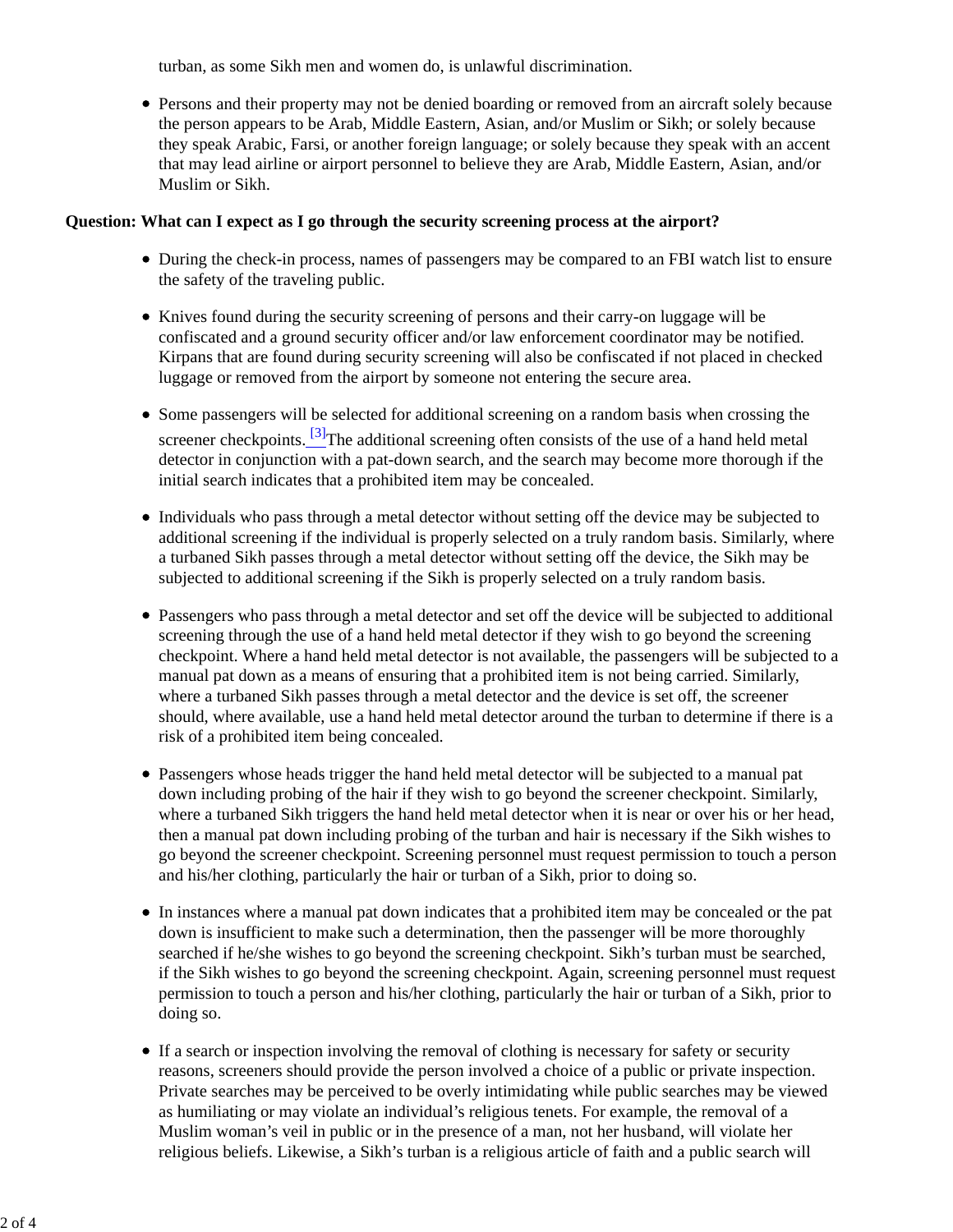turban, as some Sikh men and women do, is unlawful discrimination.

Persons and their property may not be denied boarding or removed from an aircraft solely because the person appears to be Arab, Middle Eastern, Asian, and/or Muslim or Sikh; or solely because they speak Arabic, Farsi, or another foreign language; or solely because they speak with an accent that may lead airline or airport personnel to believe they are Arab, Middle Eastern, Asian, and/or Muslim or Sikh.

#### **Question: What can I expect as I go through the security screening process at the airport?**

- During the check-in process, names of passengers may be compared to an FBI watch list to ensure the safety of the traveling public.
- Knives found during the security screening of persons and their carry-on luggage will be confiscated and a ground security officer and/or law enforcement coordinator may be notified. Kirpans that are found during security screening will also be confiscated if not placed in checked luggage or removed from the airport by someone not entering the secure area.
- Some passengers will be selected for additional screening on a random basis when crossing the screener checkpoints.  $\frac{3}{2}$ The additional screening often consists of the use of a hand held metal detector in conjunction with a pat-down search, and the search may become more thorough if the initial search indicates that a prohibited item may be concealed.
- Individuals who pass through a metal detector without setting off the device may be subjected to additional screening if the individual is properly selected on a truly random basis. Similarly, where a turbaned Sikh passes through a metal detector without setting off the device, the Sikh may be subjected to additional screening if the Sikh is properly selected on a truly random basis.
- Passengers who pass through a metal detector and set off the device will be subjected to additional screening through the use of a hand held metal detector if they wish to go beyond the screening checkpoint. Where a hand held metal detector is not available, the passengers will be subjected to a manual pat down as a means of ensuring that a prohibited item is not being carried. Similarly, where a turbaned Sikh passes through a metal detector and the device is set off, the screener should, where available, use a hand held metal detector around the turban to determine if there is a risk of a prohibited item being concealed.
- Passengers whose heads trigger the hand held metal detector will be subjected to a manual pat down including probing of the hair if they wish to go beyond the screener checkpoint. Similarly, where a turbaned Sikh triggers the hand held metal detector when it is near or over his or her head, then a manual pat down including probing of the turban and hair is necessary if the Sikh wishes to go beyond the screener checkpoint. Screening personnel must request permission to touch a person and his/her clothing, particularly the hair or turban of a Sikh, prior to doing so.
- In instances where a manual pat down indicates that a prohibited item may be concealed or the pat down is insufficient to make such a determination, then the passenger will be more thoroughly searched if he/she wishes to go beyond the screening checkpoint. Sikh's turban must be searched, if the Sikh wishes to go beyond the screening checkpoint. Again, screening personnel must request permission to touch a person and his/her clothing, particularly the hair or turban of a Sikh, prior to doing so.
- If a search or inspection involving the removal of clothing is necessary for safety or security reasons, screeners should provide the person involved a choice of a public or private inspection. Private searches may be perceived to be overly intimidating while public searches may be viewed as humiliating or may violate an individual's religious tenets. For example, the removal of a Muslim woman's veil in public or in the presence of a man, not her husband, will violate her religious beliefs. Likewise, a Sikh's turban is a religious article of faith and a public search will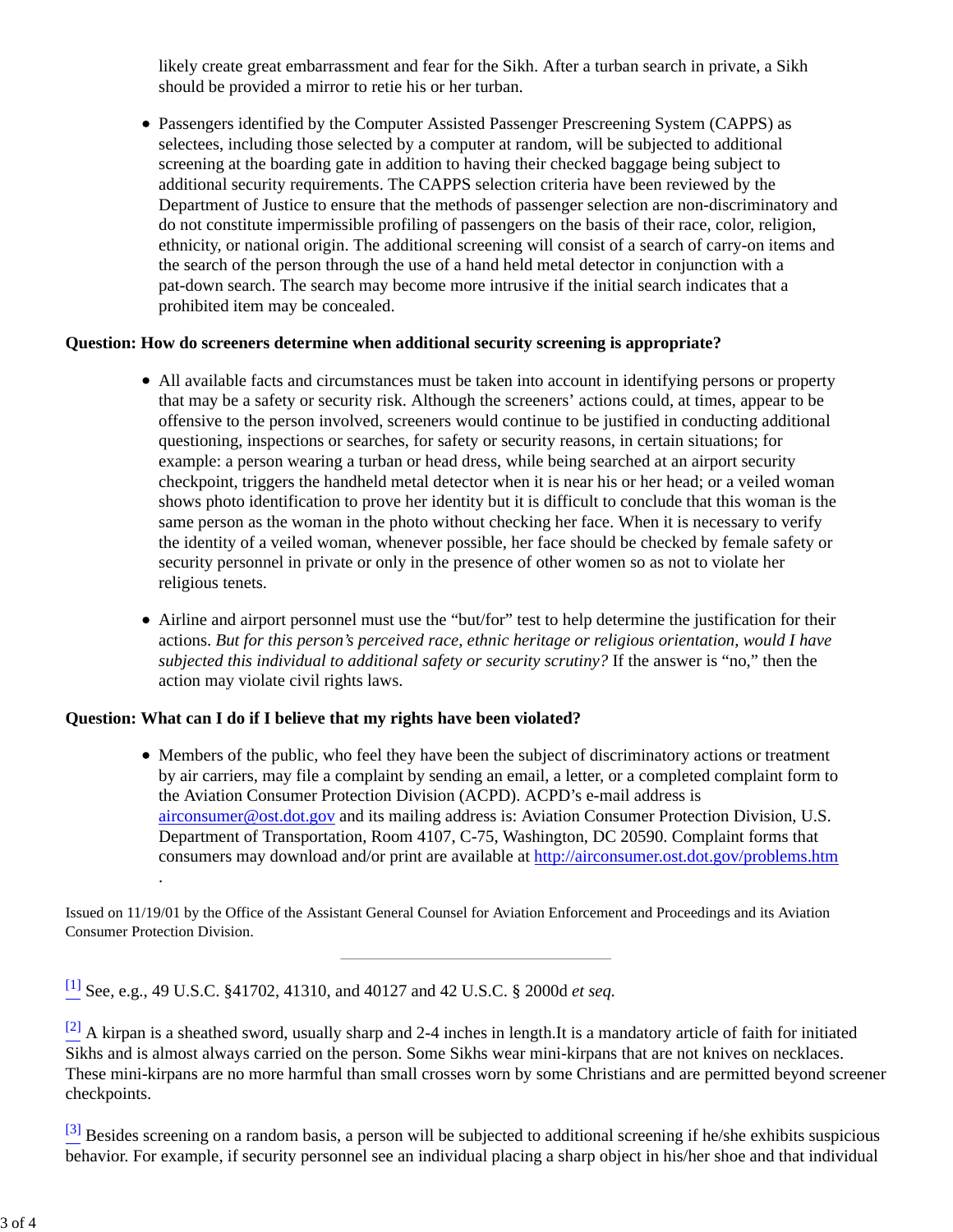likely create great embarrassment and fear for the Sikh. After a turban search in private, a Sikh should be provided a mirror to retie his or her turban.

Passengers identified by the Computer Assisted Passenger Prescreening System (CAPPS) as selectees, including those selected by a computer at random, will be subjected to additional screening at the boarding gate in addition to having their checked baggage being subject to additional security requirements. The CAPPS selection criteria have been reviewed by the Department of Justice to ensure that the methods of passenger selection are non-discriminatory and do not constitute impermissible profiling of passengers on the basis of their race, color, religion, ethnicity, or national origin. The additional screening will consist of a search of carry-on items and the search of the person through the use of a hand held metal detector in conjunction with a pat-down search. The search may become more intrusive if the initial search indicates that a prohibited item may be concealed.

## **Question: How do screeners determine when additional security screening is appropriate?**

- All available facts and circumstances must be taken into account in identifying persons or property that may be a safety or security risk. Although the screeners' actions could, at times, appear to be offensive to the person involved, screeners would continue to be justified in conducting additional questioning, inspections or searches, for safety or security reasons, in certain situations; for example: a person wearing a turban or head dress, while being searched at an airport security checkpoint, triggers the handheld metal detector when it is near his or her head; or a veiled woman shows photo identification to prove her identity but it is difficult to conclude that this woman is the same person as the woman in the photo without checking her face. When it is necessary to verify the identity of a veiled woman, whenever possible, her face should be checked by female safety or security personnel in private or only in the presence of other women so as not to violate her religious tenets.
- Airline and airport personnel must use the "but/for" test to help determine the justification for their actions. *But for this person's perceived race, ethnic heritage or religious orientation, would I have subjected this individual to additional safety or security scrutiny?* If the answer is "no," then the action may violate civil rights laws.

# **Question: What can I do if I believe that my rights have been violated?**

.

Members of the public, who feel they have been the subject of discriminatory actions or treatment by air carriers, may file a complaint by sending an email, a letter, or a completed complaint form to the Aviation Consumer Protection Division (ACPD). ACPD's e-mail address is airconsumer@ost.dot.gov and its mailing address is: Aviation Consumer Protection Division, U.S. Department of Transportation, Room 4107, C-75, Washington, DC 20590. Complaint forms that consumers may download and/or print are available at http://airconsumer.ost.dot.gov/problems.htm

Issued on 11/19/01 by the Office of the Assistant General Counsel for Aviation Enforcement and Proceedings and its Aviation Consumer Protection Division.

[1] See, e.g., 49 U.S.C. §41702, 41310, and 40127 and 42 U.S.C. § 2000d *et seq.*

 $[2]$  A kirpan is a sheathed sword, usually sharp and 2-4 inches in length.It is a mandatory article of faith for initiated Sikhs and is almost always carried on the person. Some Sikhs wear mini-kirpans that are not knives on necklaces. These mini-kirpans are no more harmful than small crosses worn by some Christians and are permitted beyond screener checkpoints.

 $^{[3]}$  Besides screening on a random basis, a person will be subjected to additional screening if he/she exhibits suspicious behavior. For example, if security personnel see an individual placing a sharp object in his/her shoe and that individual